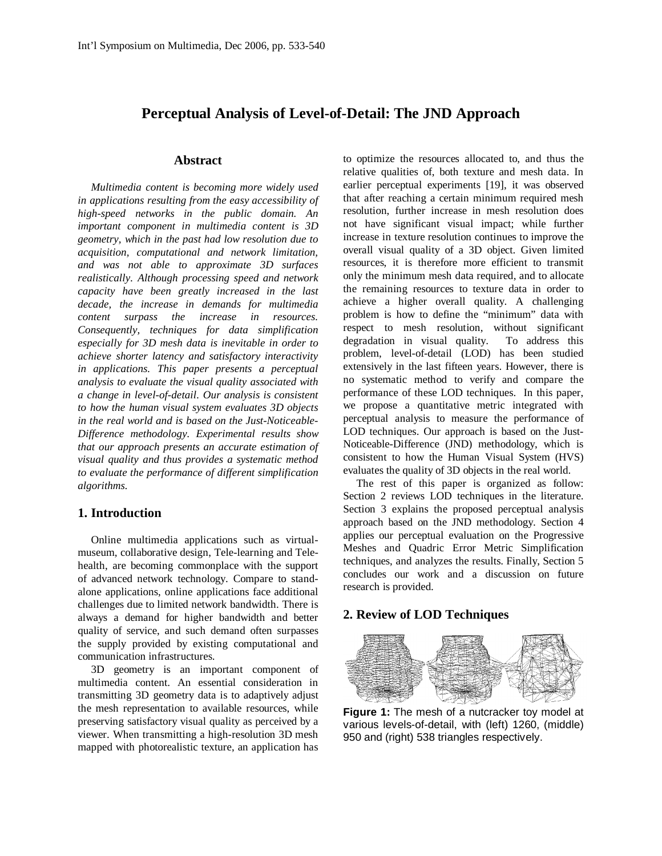# **Perceptual Analysis of Level-of-Detail: The JND Approach**

### **Abstract**

*Multimedia content is becoming more widely used in applications resulting from the easy accessibility of high-speed networks in the public domain. An important component in multimedia content is 3D geometry, which in the past had low resolution due to acquisition, computational and network limitation, and was not able to approximate 3D surfaces realistically. Although processing speed and network capacity have been greatly increased in the last decade, the increase in demands for multimedia content surpass the increase in resources. Consequently, techniques for data simplification especially for 3D mesh data is inevitable in order to achieve shorter latency and satisfactory interactivity in applications. This paper presents a perceptual analysis to evaluate the visual quality associated with a change in level-of-detail. Our analysis is consistent to how the human visual system evaluates 3D objects in the real world and is based on the Just-Noticeable-Difference methodology. Experimental results show that our approach presents an accurate estimation of visual quality and thus provides a systematic method to evaluate the performance of different simplification algorithms.*

#### **1. Introduction**

Online multimedia applications such as virtualmuseum, collaborative design, Tele-learning and Telehealth, are becoming commonplace with the support of advanced network technology. Compare to standalone applications, online applications face additional challenges due to limited network bandwidth. There is always a demand for higher bandwidth and better quality of service, and such demand often surpasses the supply provided by existing computational and communication infrastructures.

3D geometry is an important component of multimedia content. An essential consideration in transmitting 3D geometry data is to adaptively adjust the mesh representation to available resources, while preserving satisfactory visual quality as perceived by a viewer. When transmitting a high-resolution 3D mesh mapped with photorealistic texture, an application has

to optimize the resources allocated to, and thus the relative qualities of, both texture and mesh data. In earlier perceptual experiments [19], it was observed that after reaching a certain minimum required mesh resolution, further increase in mesh resolution does not have significant visual impact; while further increase in texture resolution continues to improve the overall visual quality of a 3D object. Given limited resources, it is therefore more efficient to transmit only the minimum mesh data required, and to allocate the remaining resources to texture data in order to achieve a higher overall quality. A challenging problem is how to define the "minimum" data with respect to mesh resolution, without significant degradation in visual quality. To address this problem, level-of-detail (LOD) has been studied extensively in the last fifteen years. However, there is no systematic method to verify and compare the performance of these LOD techniques. In this paper, we propose a quantitative metric integrated with perceptual analysis to measure the performance of LOD techniques. Our approach is based on the Just-Noticeable-Difference (JND) methodology, which is consistent to how the Human Visual System (HVS) evaluates the quality of 3D objects in the real world.

The rest of this paper is organized as follow: Section 2 reviews LOD techniques in the literature. Section 3 explains the proposed perceptual analysis approach based on the JND methodology. Section 4 applies our perceptual evaluation on the Progressive Meshes and Quadric Error Metric Simplification techniques, and analyzes the results. Finally, Section 5 concludes our work and a discussion on future research is provided.

#### **2. Review of LOD Techniques**



**Figure 1:** The mesh of a nutcracker toy model at various levels-of-detail, with (left) 1260, (middle) 950 and (right) 538 triangles respectively.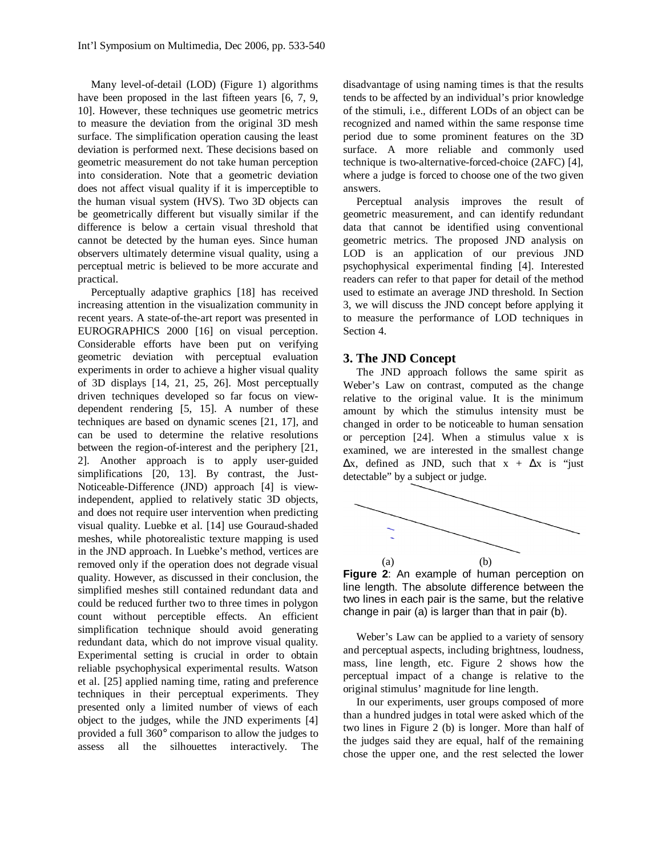Many level-of-detail (LOD) (Figure 1) algorithms have been proposed in the last fifteen years [6, 7, 9, 10]. However, these techniques use geometric metrics to measure the deviation from the original 3D mesh surface. The simplification operation causing the least deviation is performed next. These decisions based on geometric measurement do not take human perception into consideration. Note that a geometric deviation does not affect visual quality if it is imperceptible to the human visual system (HVS). Two 3D objects can be geometrically different but visually similar if the difference is below a certain visual threshold that cannot be detected by the human eyes. Since human observers ultimately determine visual quality, using a perceptual metric is believed to be more accurate and practical.

Perceptually adaptive graphics [18] has received increasing attention in the visualization community in recent years. A state-of-the-art report was presented in EUROGRAPHICS 2000 [16] on visual perception. Considerable efforts have been put on verifying geometric deviation with perceptual evaluation experiments in order to achieve a higher visual quality of 3D displays [14, 21, 25, 26]. Most perceptually driven techniques developed so far focus on viewdependent rendering [5, 15]. A number of these techniques are based on dynamic scenes [21, 17], and can be used to determine the relative resolutions between the region-of-interest and the periphery [21, 2]. Another approach is to apply user-guided simplifications [20, 13]. By contrast, the Just-Noticeable-Difference (JND) approach [4] is viewindependent, applied to relatively static 3D objects, and does not require user intervention when predicting visual quality. Luebke et al. [14] use Gouraud-shaded meshes, while photorealistic texture mapping is used in the JND approach. In Luebke's method, vertices are removed only if the operation does not degrade visual quality. However, as discussed in their conclusion, the simplified meshes still contained redundant data and could be reduced further two to three times in polygon count without perceptible effects. An efficient simplification technique should avoid generating redundant data, which do not improve visual quality. Experimental setting is crucial in order to obtain reliable psychophysical experimental results. Watson et al. [25] applied naming time, rating and preference techniques in their perceptual experiments. They presented only a limited number of views of each object to the judges, while the JND experiments [4] provided a full 360° comparison to allow the judges to assess all the silhouettes interactively. The

disadvantage of using naming times is that the results tends to be affected by an individual's prior knowledge of the stimuli, i.e., different LODs of an object can be recognized and named within the same response time period due to some prominent features on the 3D surface. A more reliable and commonly used technique is two-alternative-forced-choice (2AFC) [4], where a judge is forced to choose one of the two given answers.

Perceptual analysis improves the result of geometric measurement, and can identify redundant data that cannot be identified using conventional geometric metrics. The proposed JND analysis on LOD is an application of our previous JND psychophysical experimental finding [4]. Interested readers can refer to that paper for detail of the method used to estimate an average JND threshold. In Section 3, we will discuss the JND concept before applying it to measure the performance of LOD techniques in Section 4.

#### **3. The JND Concept**

The JND approach follows the same spirit as Weber's Law on contrast, computed as the change relative to the original value. It is the minimum amount by which the stimulus intensity must be changed in order to be noticeable to human sensation or perception [24]. When a stimulus value x is examined, we are interested in the smallest change  $\Delta x$ , defined as JND, such that  $x + \Delta x$  is "just detectable" by a subject or judge.



**Figure 2**: An example of human perception on line length. The absolute difference between the two lines in each pair is the same, but the relative change in pair (a) is larger than that in pair (b).

Weber's Law can be applied to a variety of sensory and perceptual aspects, including brightness, loudness, mass, line length, etc. Figure 2 shows how the perceptual impact of a change is relative to the original stimulus' magnitude for line length.

In our experiments, user groups composed of more than a hundred judges in total were asked which of the two lines in Figure 2 (b) is longer. More than half of the judges said they are equal, half of the remaining chose the upper one, and the rest selected the lower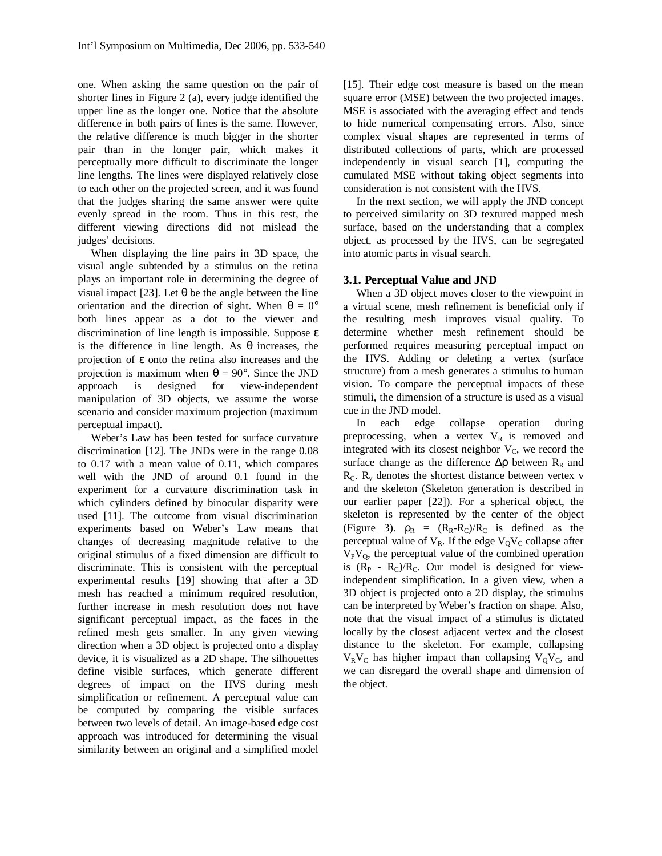one. When asking the same question on the pair of shorter lines in Figure 2 (a), every judge identified the upper line as the longer one. Notice that the absolute difference in both pairs of lines is the same. However, the relative difference is much bigger in the shorter pair than in the longer pair, which makes it perceptually more difficult to discriminate the longer line lengths. The lines were displayed relatively close to each other on the projected screen, and it was found that the judges sharing the same answer were quite evenly spread in the room. Thus in this test, the different viewing directions did not mislead the judges' decisions.

When displaying the line pairs in 3D space, the visual angle subtended by a stimulus on the retina plays an important role in determining the degree of visual impact [23]. Let θ be the angle between the line orientation and the direction of sight. When  $\theta = 0^{\circ}$ both lines appear as a dot to the viewer and discrimination of line length is impossible. Suppose ε is the difference in line length. As θ increases, the projection of ε onto the retina also increases and the projection is maximum when  $\theta = 90^{\circ}$ . Since the JND approach is designed for view-independent manipulation of 3D objects, we assume the worse scenario and consider maximum projection (maximum perceptual impact).

Weber's Law has been tested for surface curvature discrimination [12]. The JNDs were in the range 0.08 to 0.17 with a mean value of 0.11, which compares well with the JND of around 0.1 found in the experiment for a curvature discrimination task in which cylinders defined by binocular disparity were used [11]. The outcome from visual discrimination experiments based on Weber's Law means that changes of decreasing magnitude relative to the original stimulus of a fixed dimension are difficult to discriminate. This is consistent with the perceptual experimental results [19] showing that after a 3D mesh has reached a minimum required resolution, further increase in mesh resolution does not have significant perceptual impact, as the faces in the refined mesh gets smaller. In any given viewing direction when a 3D object is projected onto a display device, it is visualized as a 2D shape. The silhouettes define visible surfaces, which generate different degrees of impact on the HVS during mesh simplification or refinement. A perceptual value can be computed by comparing the visible surfaces between two levels of detail. An image-based edge cost approach was introduced for determining the visual similarity between an original and a simplified model

[15]. Their edge cost measure is based on the mean square error (MSE) between the two projected images. MSE is associated with the averaging effect and tends to hide numerical compensating errors. Also, since complex visual shapes are represented in terms of distributed collections of parts, which are processed independently in visual search [1], computing the cumulated MSE without taking object segments into consideration is not consistent with the HVS.

In the next section, we will apply the JND concept to perceived similarity on 3D textured mapped mesh surface, based on the understanding that a complex object, as processed by the HVS, can be segregated into atomic parts in visual search.

#### **3.1. Perceptual Value and JND**

When a 3D object moves closer to the viewpoint in a virtual scene, mesh refinement is beneficial only if the resulting mesh improves visual quality. To determine whether mesh refinement should be performed requires measuring perceptual impact on the HVS. Adding or deleting a vertex (surface structure) from a mesh generates a stimulus to human vision. To compare the perceptual impacts of these stimuli, the dimension of a structure is used as a visual cue in the JND model.

In each edge collapse operation during preprocessing, when a vertex  $V_R$  is removed and integrated with its closest neighbor  $V_C$ , we record the surface change as the difference  $\Delta \rho$  between R<sub>R</sub> and  $R_C$ .  $R_v$  denotes the shortest distance between vertex v and the skeleton (Skeleton generation is described in our earlier paper [22]). For a spherical object, the skeleton is represented by the center of the object (Figure 3).  $\rho_R = (R_R - R_C)/R_C$  is defined as the perceptual value of  $V_R$ . If the edge  $V_QV_C$  collapse after  $V_PV_Q$ , the perceptual value of the combined operation is  $(R_P - R_C)/R_C$ . Our model is designed for viewindependent simplification. In a given view, when a 3D object is projected onto a 2D display, the stimulus can be interpreted by Weber's fraction on shape. Also, note that the visual impact of a stimulus is dictated locally by the closest adjacent vertex and the closest distance to the skeleton. For example, collapsing  $V_RV_C$  has higher impact than collapsing  $V_OV_C$ , and we can disregard the overall shape and dimension of the object.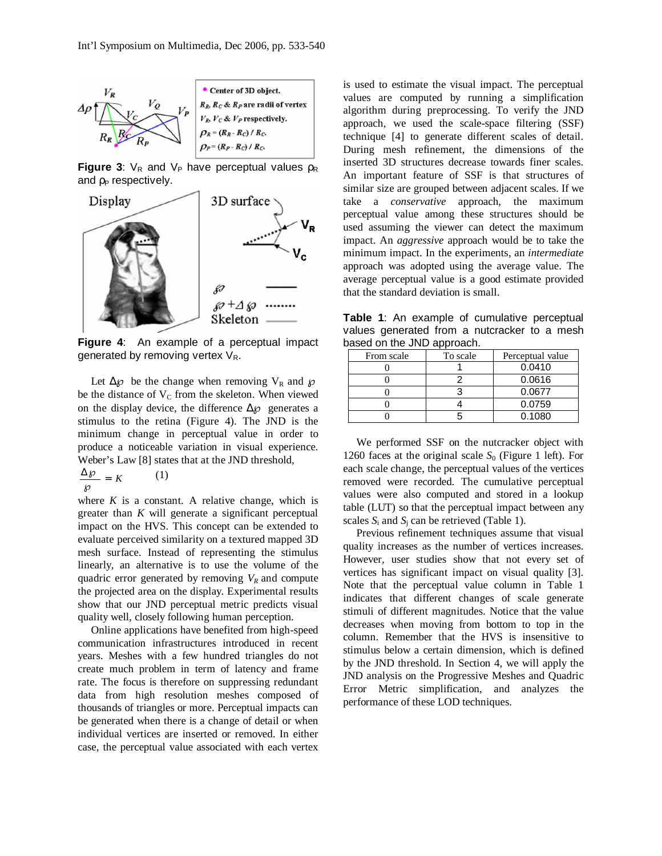

**Figure 3:**  $V_R$  and  $V_P$  have perceptual values  $\rho_R$ and  $\rho_P$  respectively.



**Figure 4**: An example of a perceptual impact generated by removing vertex  $V_R$ .

Let  $\Delta \varphi$  be the change when removing V<sub>R</sub> and  $\varphi$ be the distance of  $V_C$  from the skeleton. When viewed on the display device, the difference  $\Delta \varphi$  generates a stimulus to the retina (Figure 4). The JND is the minimum change in perceptual value in order to produce a noticeable variation in visual experience. Weber's Law [8] states that at the JND threshold,

$$
\frac{\Delta \wp}{\wp} = K \tag{1}
$$

where  $K$  is a constant. A relative change, which is greater than *K* will generate a significant perceptual impact on the HVS. This concept can be extended to evaluate perceived similarity on a textured mapped 3D mesh surface. Instead of representing the stimulus linearly, an alternative is to use the volume of the quadric error generated by removing  $V_R$  and compute the projected area on the display. Experimental results show that our JND perceptual metric predicts visual quality well, closely following human perception.

Online applications have benefited from high-speed communication infrastructures introduced in recent years. Meshes with a few hundred triangles do not create much problem in term of latency and frame rate. The focus is therefore on suppressing redundant data from high resolution meshes composed of thousands of triangles or more. Perceptual impacts can be generated when there is a change of detail or when individual vertices are inserted or removed. In either case, the perceptual value associated with each vertex

is used to estimate the visual impact. The perceptual values are computed by running a simplification algorithm during preprocessing. To verify the JND approach, we used the scale-space filtering (SSF) technique [4] to generate different scales of detail. During mesh refinement, the dimensions of the inserted 3D structures decrease towards finer scales. An important feature of SSF is that structures of similar size are grouped between adjacent scales. If we take a *conservative* approach, the maximum perceptual value among these structures should be used assuming the viewer can detect the maximum impact. An *aggressive* approach would be to take the minimum impact. In the experiments, an *intermediate* approach was adopted using the average value. The average perceptual value is a good estimate provided that the standard deviation is small.

**Table 1**: An example of cumulative perceptual values generated from a nutcracker to a mesh based on the JND approach.

| From scale | To scale | Perceptual value |  |  |
|------------|----------|------------------|--|--|
|            |          | 0.0410           |  |  |
|            |          | 0.0616           |  |  |
|            |          | 0.0677           |  |  |
|            |          | 0.0759           |  |  |
|            |          | 0.1080           |  |  |

We performed SSF on the nutcracker object with 1260 faces at the original scale  $S_0$  (Figure 1 left). For each scale change, the perceptual values of the vertices removed were recorded. The cumulative perceptual values were also computed and stored in a lookup table (LUT) so that the perceptual impact between any scales  $S_i$  and  $S_j$  can be retrieved (Table 1).

Previous refinement techniques assume that visual quality increases as the number of vertices increases. However, user studies show that not every set of vertices has significant impact on visual quality [3]. Note that the perceptual value column in Table 1 indicates that different changes of scale generate stimuli of different magnitudes. Notice that the value decreases when moving from bottom to top in the column. Remember that the HVS is insensitive to stimulus below a certain dimension, which is defined by the JND threshold. In Section 4, we will apply the JND analysis on the Progressive Meshes and Quadric Error Metric simplification, and analyzes the performance of these LOD techniques.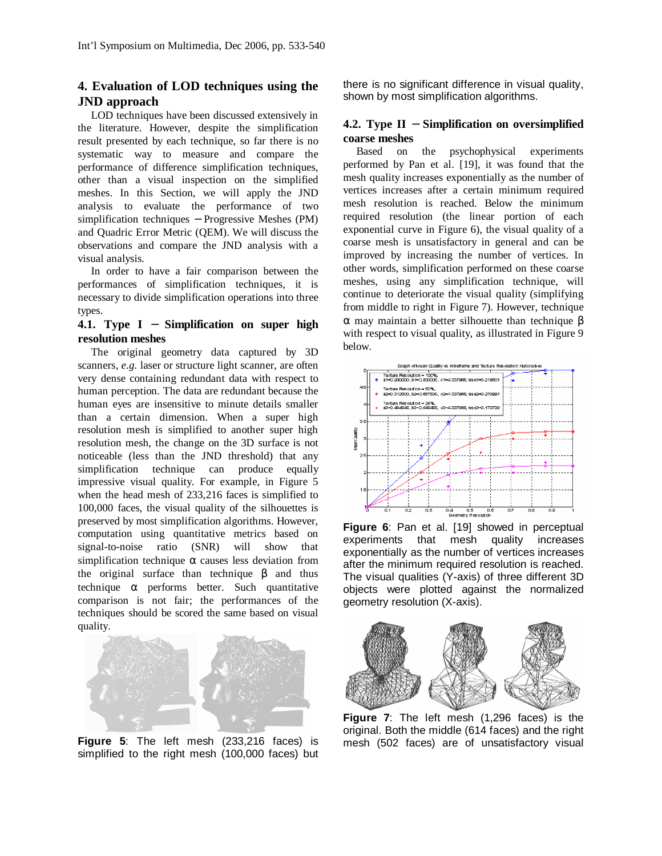# **4. Evaluation of LOD techniques using the JND approach**

LOD techniques have been discussed extensively in the literature. However, despite the simplification result presented by each technique, so far there is no systematic way to measure and compare the performance of difference simplification techniques, other than a visual inspection on the simplified meshes. In this Section, we will apply the JND analysis to evaluate the performance of two simplification techniques – Progressive Meshes (PM) and Quadric Error Metric (QEM). We will discuss the observations and compare the JND analysis with a visual analysis.

In order to have a fair comparison between the performances of simplification techniques, it is necessary to divide simplification operations into three types.

## **4.1. Type I** − **Simplification on super high resolution meshes**

The original geometry data captured by 3D scanners, *e.g.* laser or structure light scanner, are often very dense containing redundant data with respect to human perception. The data are redundant because the human eyes are insensitive to minute details smaller than a certain dimension. When a super high resolution mesh is simplified to another super high resolution mesh, the change on the 3D surface is not noticeable (less than the JND threshold) that any simplification technique can produce equally impressive visual quality. For example, in Figure 5 when the head mesh of 233,216 faces is simplified to 100,000 faces, the visual quality of the silhouettes is preserved by most simplification algorithms. However, computation using quantitative metrics based on signal-to-noise ratio (SNR) will show that simplification technique  $\alpha$  causes less deviation from the original surface than technique β and thus technique  $\alpha$  performs better. Such quantitative comparison is not fair; the performances of the techniques should be scored the same based on visual quality.



**Figure 5**: The left mesh (233,216 faces) is simplified to the right mesh (100,000 faces) but

there is no significant difference in visual quality, shown by most simplification algorithms.

## **4.2. Type II** − **Simplification on oversimplified coarse meshes**

Based on the psychophysical experiments performed by Pan et al. [19], it was found that the mesh quality increases exponentially as the number of vertices increases after a certain minimum required mesh resolution is reached. Below the minimum required resolution (the linear portion of each exponential curve in Figure 6), the visual quality of a coarse mesh is unsatisfactory in general and can be improved by increasing the number of vertices. In other words, simplification performed on these coarse meshes, using any simplification technique, will continue to deteriorate the visual quality (simplifying from middle to right in Figure 7). However, technique α may maintain a better silhouette than technique β with respect to visual quality, as illustrated in Figure 9 below.



**Figure 6**: Pan et al. [19] showed in perceptual experiments that mesh quality increases exponentially as the number of vertices increases after the minimum required resolution is reached. The visual qualities (Y-axis) of three different 3D objects were plotted against the normalized geometry resolution (X-axis).



**Figure 7**: The left mesh (1,296 faces) is the original. Both the middle (614 faces) and the right mesh (502 faces) are of unsatisfactory visual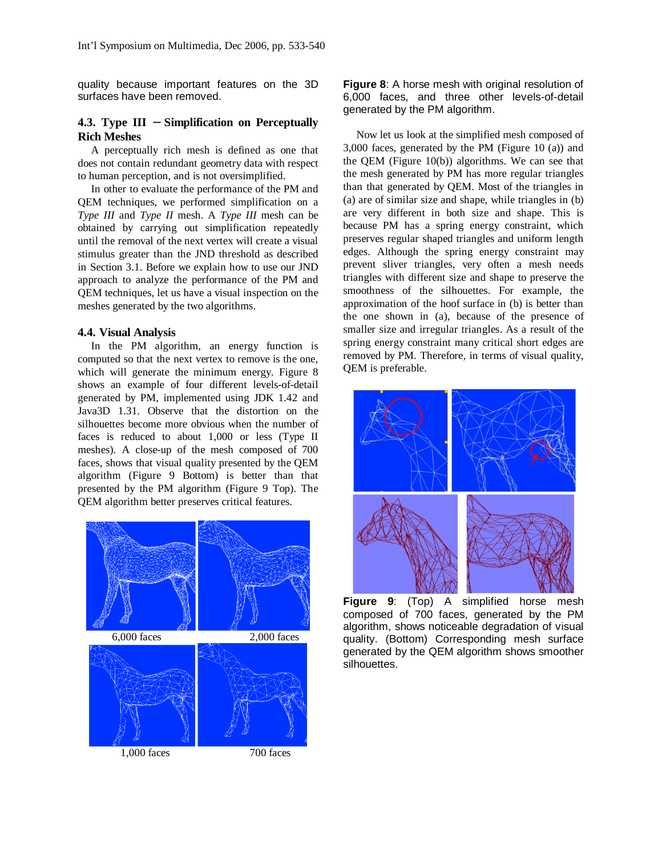quality because important features on the 3D surfaces have been removed.

### **4.3. Type III** − **Simplification on Perceptually Rich Meshes**

A perceptually rich mesh is defined as one that does not contain redundant geometry data with respect to human perception, and is not oversimplified.

In other to evaluate the performance of the PM and QEM techniques, we performed simplification on a *Type III* and *Type II* mesh. A *Type III* mesh can be obtained by carrying out simplification repeatedly until the removal of the next vertex will create a visual stimulus greater than the JND threshold as described in Section 3.1. Before we explain how to use our JND approach to analyze the performance of the PM and QEM techniques, let us have a visual inspection on the meshes generated by the two algorithms.

#### **4.4. Visual Analysis**

In the PM algorithm, an energy function is computed so that the next vertex to remove is the one, which will generate the minimum energy. Figure 8 shows an example of four different levels-of-detail generated by PM, implemented using JDK 1.42 and Java3D 1.31. Observe that the distortion on the silhouettes become more obvious when the number of faces is reduced to about 1,000 or less (Type II meshes). A close-up of the mesh composed of 700 faces, shows that visual quality presented by the QEM algorithm (Figure 9 Bottom) is better than that presented by the PM algorithm (Figure 9 Top). The QEM algorithm better preserves critical features.



**Figure 8**: A horse mesh with original resolution of 6,000 faces, and three other levels-of-detail generated by the PM algorithm.

Now let us look at the simplified mesh composed of 3,000 faces, generated by the PM (Figure 10 (a)) and the QEM (Figure 10(b)) algorithms. We can see that the mesh generated by PM has more regular triangles than that generated by QEM. Most of the triangles in (a) are of similar size and shape, while triangles in (b) are very different in both size and shape. This is because PM has a spring energy constraint, which preserves regular shaped triangles and uniform length edges. Although the spring energy constraint may prevent sliver triangles, very often a mesh needs triangles with different size and shape to preserve the smoothness of the silhouettes. For example, the approximation of the hoof surface in (b) is better than the one shown in (a), because of the presence of smaller size and irregular triangles. As a result of the spring energy constraint many critical short edges are removed by PM. Therefore, in terms of visual quality, QEM is preferable.



**Figure 9**: (Top) A simplified horse mesh composed of 700 faces, generated by the PM algorithm, shows noticeable degradation of visual quality. (Bottom) Corresponding mesh surface generated by the QEM algorithm shows smoother silhouettes.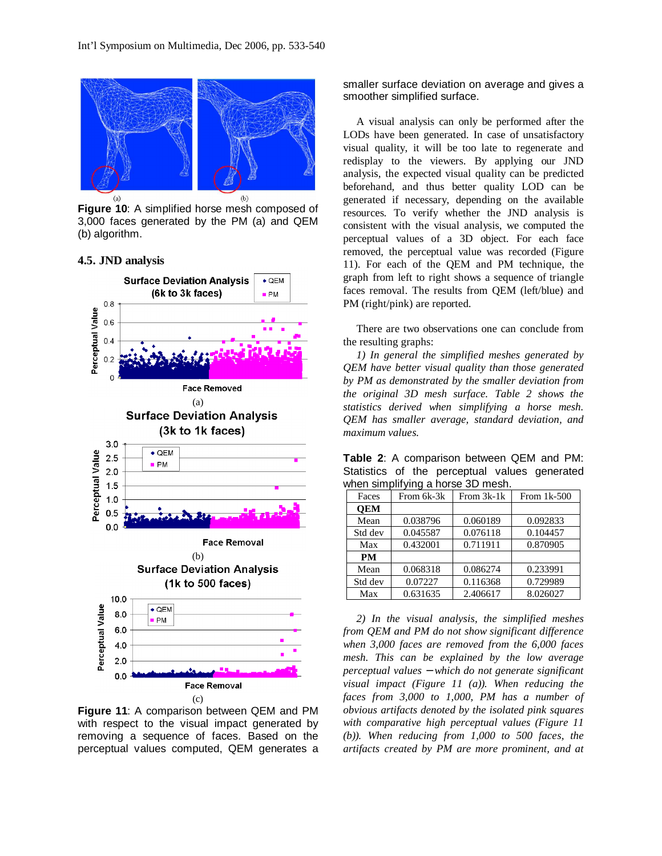

**Figure 10**: A simplified horse mesh composed of 3,000 faces generated by the PM (a) and QEM (b) algorithm.

## **4.5. JND analysis**



**Figure 11**: A comparison between QEM and PM with respect to the visual impact generated by removing a sequence of faces. Based on the perceptual values computed, QEM generates a

smaller surface deviation on average and gives a smoother simplified surface.

A visual analysis can only be performed after the LODs have been generated. In case of unsatisfactory visual quality, it will be too late to regenerate and redisplay to the viewers. By applying our JND analysis, the expected visual quality can be predicted beforehand, and thus better quality LOD can be generated if necessary, depending on the available resources. To verify whether the JND analysis is consistent with the visual analysis, we computed the perceptual values of a 3D object. For each face removed, the perceptual value was recorded (Figure 11). For each of the QEM and PM technique, the graph from left to right shows a sequence of triangle faces removal. The results from QEM (left/blue) and PM (right/pink) are reported.

There are two observations one can conclude from the resulting graphs:

*1) In general the simplified meshes generated by QEM have better visual quality than those generated by PM as demonstrated by the smaller deviation from the original 3D mesh surface. Table 2 shows the statistics derived when simplifying a horse mesh. QEM has smaller average, standard deviation, and maximum values.*

**Table 2**: A comparison between QEM and PM: Statistics of the perceptual values generated when simplifying a horse 3D mesh.

| Faces      | From 6k-3k | From 3k-1k | From $1k-500$ |
|------------|------------|------------|---------------|
| <b>OEM</b> |            |            |               |
| Mean       | 0.038796   | 0.060189   | 0.092833      |
| Std dev    | 0.045587   | 0.076118   | 0.104457      |
| Max        | 0.432001   | 0.711911   | 0.870905      |
| <b>PM</b>  |            |            |               |
| Mean       | 0.068318   | 0.086274   | 0.233991      |
| Std dev    | 0.07227    | 0.116368   | 0.729989      |
| Max        | 0.631635   | 2.406617   | 8.026027      |

*2) In the visual analysis, the simplified meshes from QEM and PM do not show significant difference when 3,000 faces are removed from the 6,000 faces mesh. This can be explained by the low average perceptual values* − *which do not generate significant visual impact (Figure 11 (a)). When reducing the faces from 3,000 to 1,000, PM has a number of obvious artifacts denoted by the isolated pink squares with comparative high perceptual values (Figure 11 (b)). When reducing from 1,000 to 500 faces, the artifacts created by PM are more prominent, and at*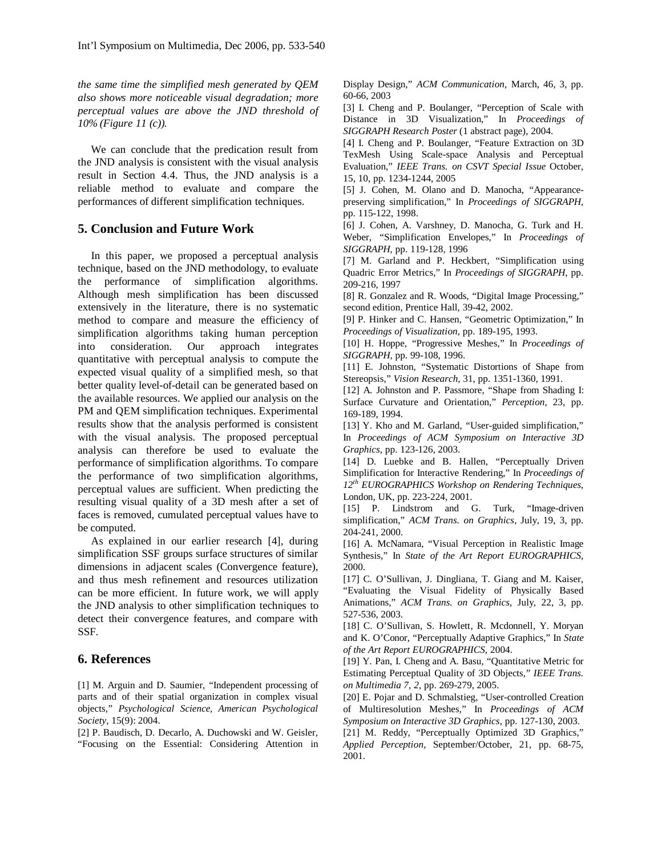*the same time the simplified mesh generated by QEM also shows more noticeable visual degradation; more perceptual values are above the JND threshold of 10% (Figure 11 (c)).*

We can conclude that the predication result from the JND analysis is consistent with the visual analysis result in Section 4.4. Thus, the JND analysis is a reliable method to evaluate and compare the performances of different simplification techniques.

## **5. Conclusion and Future Work**

In this paper, we proposed a perceptual analysis technique, based on the JND methodology, to evaluate the performance of simplification algorithms. Although mesh simplification has been discussed extensively in the literature, there is no systematic method to compare and measure the efficiency of simplification algorithms taking human perception into consideration. Our approach integrates quantitative with perceptual analysis to compute the expected visual quality of a simplified mesh, so that better quality level-of-detail can be generated based on the available resources. We applied our analysis on the PM and QEM simplification techniques. Experimental results show that the analysis performed is consistent with the visual analysis. The proposed perceptual analysis can therefore be used to evaluate the performance of simplification algorithms. To compare the performance of two simplification algorithms, perceptual values are sufficient. When predicting the resulting visual quality of a 3D mesh after a set of faces is removed, cumulated perceptual values have to be computed.

As explained in our earlier research [4], during simplification SSF groups surface structures of similar dimensions in adjacent scales (Convergence feature), and thus mesh refinement and resources utilization can be more efficient. In future work, we will apply the JND analysis to other simplification techniques to detect their convergence features, and compare with SSF.

## **6. References**

[1] M. Arguin and D. Saumier, "Independent processing of parts and of their spatial organization in complex visual objects," *Psychological Science, American Psychological Society*, 15(9): 2004.

[2] P. Baudisch, D. Decarlo, A. Duchowski and W. Geisler, "Focusing on the Essential: Considering Attention in Display Design," *ACM Communication*, March, 46, 3, pp. 60-66, 2003

[3] I. Cheng and P. Boulanger, "Perception of Scale with Distance in 3D Visualization," In *Proceedings of SIGGRAPH Research Poster* (1 abstract page), 2004.

[4] I. Cheng and P. Boulanger, "Feature Extraction on 3D TexMesh Using Scale-space Analysis and Perceptual Evaluation," *IEEE Trans. on CSVT Special Issue* October, 15, 10, pp. 1234-1244, 2005

[5] J. Cohen, M. Olano and D. Manocha, "Appearancepreserving simplification," In *Proceedings of SIGGRAPH*, pp. 115-122, 1998.

[6] J. Cohen, A. Varshney, D. Manocha, G. Turk and H. Weber, "Simplification Envelopes," In *Proceedings of SIGGRAPH*, pp. 119-128, 1996

[7] M. Garland and P. Heckbert, "Simplification using Quadric Error Metrics," In *Proceedings of SIGGRAPH*, pp. 209-216, 1997

[8] R. Gonzalez and R. Woods, "Digital Image Processing," second edition, Prentice Hall, 39-42, 2002.

[9] P. Hinker and C. Hansen, "Geometric Optimization," In *Proceedings of Visualization*, pp. 189-195, 1993.

[10] H. Hoppe, "Progressive Meshes," In *Proceedings of SIGGRAPH,* pp. 99-108, 1996.

[11] E. Johnston, "Systematic Distortions of Shape from Stereopsis," *Vision Research*, 31, pp. 1351-1360, 1991.

[12] A. Johnston and P. Passmore, "Shape from Shading I: Surface Curvature and Orientation," *Perception*, 23, pp. 169-189, 1994.

[13] Y. Kho and M. Garland, "User-guided simplification," In *Proceedings of ACM Symposium on Interactive 3D Graphics*, pp. 123-126, 2003.

[14] D. Luebke and B. Hallen, "Perceptually Driven Simplification for Interactive Rendering," In *Proceedings of 12th EUROGRAPHICS Workshop on Rendering Techniques*, London, UK, pp. 223-224, 2001.

[15] P. Lindstrom and G. Turk, "Image-driven simplification," *ACM Trans. on Graphics*, July, 19, 3, pp. 204-241, 2000.

[16] A. McNamara, "Visual Perception in Realistic Image Synthesis," In *State of the Art Report EUROGRAPHICS*, 2000.

[17] C. O'Sullivan, J. Dingliana, T. Giang and M. Kaiser, "Evaluating the Visual Fidelity of Physically Based Animations," *ACM Trans. on Graphics*, July, 22, 3, pp. 527-536, 2003.

[18] C. O'Sullivan, S. Howlett, R. Mcdonnell, Y. Moryan and K. O'Conor, "Perceptually Adaptive Graphics," In *State of the Art Report EUROGRAPHICS*, 2004.

[19] Y. Pan, I. Cheng and A. Basu, "Quantitative Metric for Estimating Perceptual Quality of 3D Objects," *IEEE Trans. on Multimedia 7, 2*, pp. 269-279, 2005.

[20] E. Pojar and D. Schmalstieg, "User-controlled Creation of Multiresolution Meshes," In *Proceedings of ACM Symposium on Interactive 3D Graphics*, pp. 127-130, 2003.

[21] M. Reddy, "Perceptually Optimized 3D Graphics," *Applied Perception*, September/October, 21, pp. 68-75, 2001.